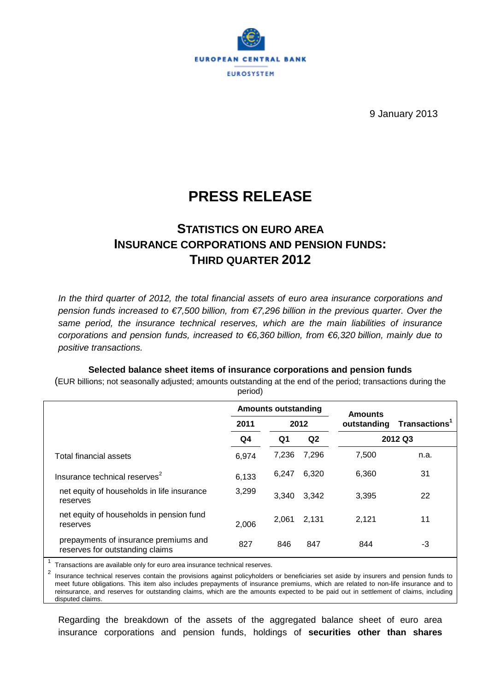

9 January 2013

# **PRESS RELEASE**

# **STATISTICS ON EURO AREA INSURANCE CORPORATIONS AND PENSION FUNDS: THIRD QUARTER 2012**

*In the third quarter of 2012, the total financial assets of euro area insurance corporations and pension funds increased to €7,500 billion, from €7,296 billion in the previous quarter. Over the same period, the insurance technical reserves, which are the main liabilities of insurance corporations and pension funds, increased to €6,360 billion, from €6,320 billion, mainly due to positive transactions.*

## **Selected balance sheet items of insurance corporations and pension funds**

(EUR billions; not seasonally adjusted; amounts outstanding at the end of the period; transactions during the period)

|                                                                          | <b>Amounts outstanding</b> |                              |       | <b>Amounts</b> |                           |
|--------------------------------------------------------------------------|----------------------------|------------------------------|-------|----------------|---------------------------|
|                                                                          | 2011                       | 2012<br>Q <sub>2</sub><br>Q1 |       | outstanding    | Transactions <sup>1</sup> |
|                                                                          | Q4                         |                              |       | 2012 Q3        |                           |
| Total financial assets                                                   | 6,974                      | 7,236                        | 7,296 | 7,500          | n.a.                      |
| Insurance technical reserves <sup>2</sup>                                | 6,133                      | 6,247                        | 6,320 | 6,360          | 31                        |
| net equity of households in life insurance<br>reserves                   | 3,299                      | 3.340                        | 3,342 | 3,395          | 22                        |
| net equity of households in pension fund<br>reserves                     | 2,006                      | 2,061                        | 2,131 | 2,121          | 11                        |
| prepayments of insurance premiums and<br>reserves for outstanding claims | 827                        | 846                          | 847   | 844            | -3                        |

Transactions are available only for euro area insurance technical reserves.

<sup>2</sup> Insurance technical reserves contain the provisions against policyholders or beneficiaries set aside by insurers and pension funds to meet future obligations. This item also includes prepayments of insurance premiums, which are related to non-life insurance and to reinsurance, and reserves for outstanding claims, which are the amounts expected to be paid out in settlement of claims, including disputed claims.

Regarding the breakdown of the assets of the aggregated balance sheet of euro area insurance corporations and pension funds, holdings of **securities other than shares**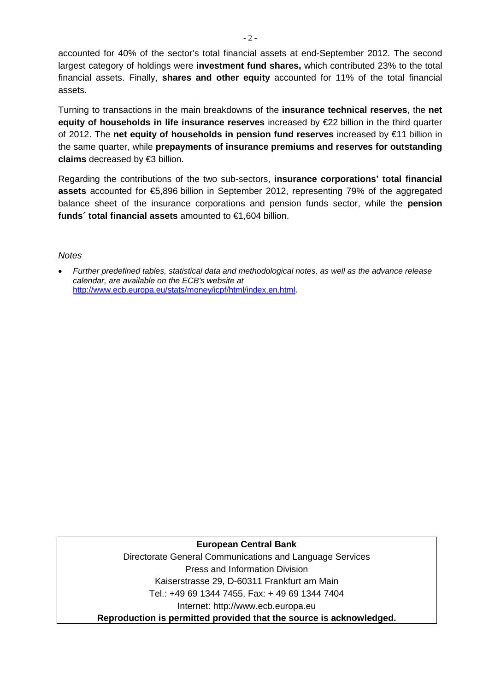accounted for 40% of the sector's total financial assets at end-September 2012. The second largest category of holdings were **investment fund shares,** which contributed 23% to the total financial assets. Finally, **shares and other equity** accounted for 11% of the total financial assets.

Turning to transactions in the main breakdowns of the **insurance technical reserves**, the **net equity of households in life insurance reserves** increased by €22 billion in the third quarter of 2012. The **net equity of households in pension fund reserves** increased by €11 billion in the same quarter, while **prepayments of insurance premiums and reserves for outstanding claims** decreased by €3 billion.

Regarding the contributions of the two sub-sectors, **insurance corporations' total financial assets** accounted for €5,896 billion in September 2012, representing 79% of the aggregated balance sheet of the insurance corporations and pension funds sector, while the **pension funds´ total financial assets** amounted to €1,604 billion.

## *Notes*

• *Further predefined tables, statistical data and methodological notes, as well as the advance release calendar, are available on the ECB's website at*  [http://www.ecb.europa.eu/stats/money/icpf/html/index.en.html.](http://www.ecb.europa.eu/stats/money/icpf/html/index.en.html)

## **European Central Bank**

Directorate General Communications and Language Services Press and Information Division Kaiserstrasse 29, D-60311 Frankfurt am Main Tel.: +49 69 1344 7455, Fax: + 49 69 1344 7404 Internet: http://www.ecb.europa.eu **Reproduction is permitted provided that the source is acknowledged.**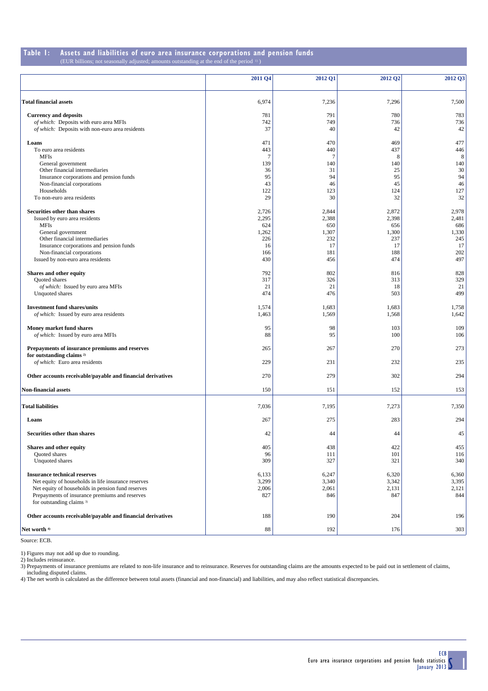#### **Table 1:** Assets and liabilities of euro area insurance corporations and pension funds (EUR billions; not seasonally adjusted; amounts outstanding at the end of the period b) sonally adjusted; amounts outstanding at the end of the period  $\frac{1}{2}$ )

|                                                             | 2011 Q4        | 2012 Q1         | 2012 Q2   | 2012 Q3   |
|-------------------------------------------------------------|----------------|-----------------|-----------|-----------|
| <b>Total financial assets</b>                               | 6,974          | 7,236           | 7,296     | 7,500     |
| <b>Currency and deposits</b>                                | 781            | 791             | 780       | 783       |
| of which: Deposits with euro area MFIs                      | 742            | 749             | 736       | 736       |
| of which: Deposits with non-euro area residents             | 37             | 40              | 42        | 42        |
| Loans                                                       | 471            | 470             | 469       | 477       |
| To euro area residents                                      | 443            | 440             | 437       | 446       |
| MFIs                                                        | $\overline{7}$ | $7\phantom{.0}$ | 8         | 8         |
| General government                                          | 139            | 140             | 140       | 140       |
| Other financial intermediaries                              | 36             | 31              | 25        | 30        |
| Insurance corporations and pension funds                    | 95             | 94              | 95        | 94        |
| Non-financial corporations                                  | 43<br>122      | 46              | 45        | 46        |
| Households<br>To non-euro area residents                    | 29             | 123<br>30       | 124<br>32 | 127<br>32 |
|                                                             |                |                 |           |           |
| Securities other than shares                                | 2,726          | 2,844           | 2,872     | 2,978     |
| Issued by euro area residents                               | 2,295          | 2,388           | 2,398     | 2,481     |
| <b>MFIs</b>                                                 | 624            | 650             | 656       | 686       |
| General government                                          | 1,262          | 1,307           | 1,300     | 1,330     |
| Other financial intermediaries                              | 226            | 232             | 237       | 245       |
| Insurance corporations and pension funds                    | 16             | 17              | 17        | 17        |
| Non-financial corporations                                  | 166            | 181             | 188       | 202       |
| Issued by non-euro area residents                           | 430            | 456             | 474       | 497       |
| Shares and other equity                                     | 792            | 802             | 816       | 828       |
| Quoted shares                                               | 317            | 326             | 313       | 329       |
| of which: Issued by euro area MFIs                          | 21             | 21              | 18        | 21        |
| Unquoted shares                                             | 474            | 476             | 503       | 499       |
| <b>Investment fund shares/units</b>                         | 1,574          | 1,683           | 1,683     | 1,758     |
| of which: Issued by euro area residents                     | 1,463          | 1,569           | 1,568     | 1,642     |
| Money market fund shares                                    | 95             | 98              | 103       | 109       |
| of which: Issued by euro area MFIs                          | 88             | 95              | 100       | 106       |
| Prepayments of insurance premiums and reserves              | 265            | 267             | 270       | 273       |
| for outstanding claims <sup>2)</sup>                        |                |                 |           |           |
| of which: Euro area residents                               | 229            | 231             | 232       | 235       |
| Other accounts receivable/payable and financial derivatives | 270            | 279             | 302       | 294       |
| <b>Non-financial assets</b>                                 | 150            | 151             | 152       | 153       |
|                                                             |                |                 |           |           |
| <b>Total liabilities</b>                                    | 7,036          | 7,195           | 7,273     | 7,350     |
| Loans                                                       | 267            | 275             | 283       | 294       |
|                                                             |                |                 |           |           |
| Securities other than shares                                | 42             | 44              | 44        | 45        |
| Shares and other equity                                     | 405            | 438             | 422       | 455       |
| Quoted shares                                               | 96             | 111             | 101       | 116       |
| Unquoted shares                                             | 309            | 327             | 321       | 340       |
| <b>Insurance technical reserves</b>                         | 6,133          | 6,247           | 6,320     | 6,360     |
| Net equity of households in life insurance reserves         | 3,299          | 3,340           | 3,342     | 3,395     |
| Net equity of households in pension fund reserves           | 2,006          | 2,061           | 2,131     | 2,121     |
| Prepayments of insurance premiums and reserves              | 827            | 846             | 847       | 844       |
| for outstanding claims 3)                                   |                |                 |           |           |
|                                                             |                |                 |           |           |
| Other accounts receivable/payable and financial derivatives | 188            | 190             | 204       | 196       |
| Net worth 4)                                                | 88             | 192             | 176       | 303       |

Source: ECB.

1) Figures may not add up due to rounding.

2) Includes reinsurance.

3) Prepayments of insurance premiums are related to non-life insurance and to reinsurance. Reserves for outstanding claims are the amounts expected to be paid out in settlement of claims, including disputed claims.

4) The net worth is calculated as the difference between total assets (financial and non-financial) and liabilities, and may also reflect statistical discrepancies.